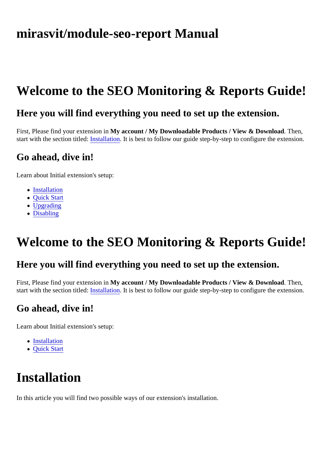## <span id="page-0-0"></span>mirasvit/module-seo-report Manual

# Welcome to the SEO Monitoring & Reports Guide!

### Here you will find everything you need to set up the extension.

First, Please find your extension Why account / My Downloadable Products / View & Download Then, start with the section titled nstallation It is best to follow our quide step-by-step to configure the extension.

### Go ahead, dive in!

Learn about Initial extension's setup:

- Installation
- [Quick Star](#page-1-0)t
- [Upgrading](#page-2-0)
- [Disabling](#page-2-0)

# Welcome to the SEO Monitoring & Reports Guide!

#### Here you will find everything you need to set up the extension.

First, Please find your extension Why account / My Downloadable Products / View & Download Then, start with the section titlednstallation It is best to follow our guide step-by-step to configure the extension.

### Go ahead, dive in!

Learn about Initial extension's setup:

- Installation
- [Quick Star](#page-1-0)t

## Installation

In this article you will find two possible ways of our extension's installation.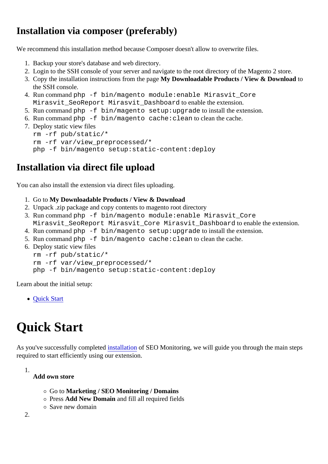## <span id="page-1-0"></span>Installation via composer (preferably)

We recommend this installation method because Composer doesn't allow to overwrite files.

- 1. Backup your store's database and web directory.
- 2. Login to the SSH console of your server and navigate to the root directory of the Magento 2 store.
- 3. Copy the installation instructions from the padge Downloadable Products / View & Download to the SSH console.
- 4. Run commanothp -f bin/magento module: enable Mirasvit Core Mirasvit\_SeoReport Mirasvit\_Dashboard to enable the extension.
- 5. Run commanoth p-f bin/magento setup:upgrade to install the extension.
- 6. Run commanoth p-f bin/magento cache: clean to clean the cache.
- 7. Deploy static view files rm -rf pub/static/\* rm -rf var/view\_preprocessed/\* php -f bin/magento setup:static-content:deploy

## Installation via direct file upload

You can also install the extension via direct files uploading.

- 1. Go to My Downloadable Products / View & Download
- 2. Unpack .zip package and copy contents to magento root directory
- 3. Run commanoth -f bin/magento module: enable Mirasvit Core Mirasvit\_SeoReport Mirasvit\_Core Mirasvit\_Dashboard to enable the extension.
- 4. Run commanoth p-f bin/magento setup:upgrade to install the extension.
- 5. Run commanoth bin/magento cache: clean to clean the cache.
- 6. Deploy static view files rm -rf pub/static/\* rm -rf var/view\_preprocessed/\* php -f bin/magento setup:static-content:deploy

Learn about the initial setup:

Quick Start

## Quick Start

As you've successfully completerstallationof SEO Monitoring, we will guide you through the main steps required to start efficiently using our extension.

1.

Add own store

- Go to Marketing / SEO Monitoring / Domains
- o PressAdd New Domain and fill all required fields
- Save new domain

2.

- -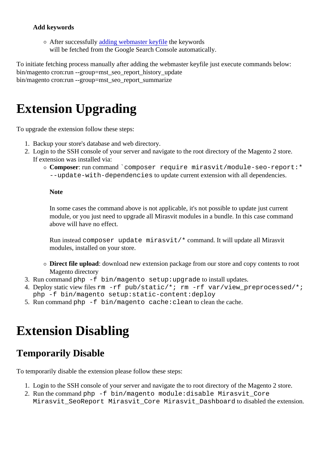#### <span id="page-2-0"></span>Add keywords

 $\circ$ After successfull adding webmaster keyfilthe keywords will be fetched from the Google Search Console automatically.

To initiate fetching process manually after adding the webmaster keyfile just execute commands below: bin/magento cron:run --group=mst\_seo\_report\_history\_update bin/magento cron:run --group=mst\_seo\_report\_summarize

## Extension Upgrading

To upgrade the extension follow these steps:

- 1. Backup your store's database and web directory.
- 2. Login to the SSH console of your server and navigate to the root directory of the Magento 2 store. If extension was installed via:
	- $\circ$  Composer run command composer require mirasvit/module-seo-report:\* --update-with-dependencies to update current extension with all dependencies.

**Note** 

In some cases the command above is not applicable, it's not possible to update just current module, or you just need to upgrade all Mirasvit modules in a bundle. In this case command above will have no effect.

Run instead composer update mirasvit/\* command. It will update all Mirasvit modules, installed on your store.

- o Direct file upload: download new extension package from our store and copy contents to root Magento directory
- 3. Run commanothp -f bin/magento setup:upgrade to install updates.
- 4. Deploy static view filesm -rf pub/static/\*; rm -rf var/view\_preprocessed/\*; php -f bin/magento setup:static-content:deploy
- 5. Run commanoth p-f bin/magento cache: clean to clean the cache.

## Extension Disabling

### Temporarily Disable

To temporarily disable the extension please follow these steps:

- 1. Login to the SSH console of your server and navigate the to root directory of the Magento 2 store.
- 2. Run the commandhp -f bin/magento module: disable Mirasvit\_Core Mirasvit SeoReport Mirasvit Core Mirasvit Dashboard to disabled the extension.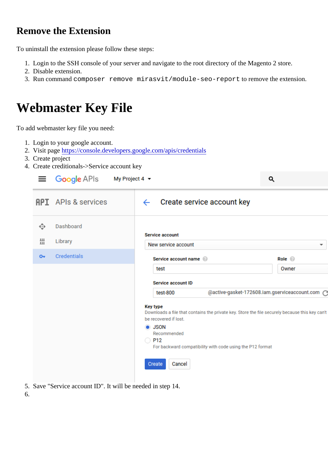### <span id="page-3-0"></span>Remove the Extension

To uninstall the extension please follow these steps:

- 1. Login to the SSH console of your server and navigate to the root directory of the Magento 2 store.
- 2. Disable extension.
- 3. Run command composer remove mirasvit/module-seo-report to remove the extension.

# Webmaster Key File

To add webmaster key file you need:

- 1. Login to your google account.
- 2. Visit pagehttps://console.developers.google.com/apis/credentials
- 3. Create project
- 4. Create creditionals->Service account key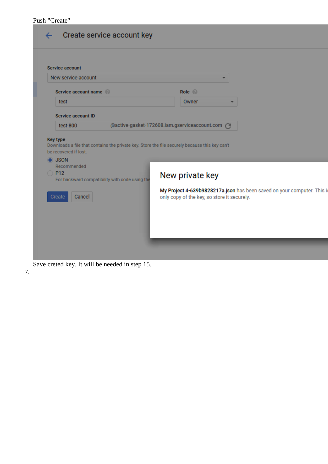#### Push "Create"

| <b>Service account</b><br>New service account        |                                                                                                |                                                 |                                                                         |
|------------------------------------------------------|------------------------------------------------------------------------------------------------|-------------------------------------------------|-------------------------------------------------------------------------|
| Service account name                                 |                                                                                                | Role <sup>@</sup>                               |                                                                         |
| test                                                 |                                                                                                | Owner                                           |                                                                         |
| <b>Service account ID</b>                            |                                                                                                |                                                 |                                                                         |
|                                                      |                                                                                                |                                                 |                                                                         |
| test-800<br><b>Key type</b><br>be recovered if lost. | Downloads a file that contains the private key. Store the file securely because this key can't | @active-gasket-172608.iam.gserviceaccount.com @ |                                                                         |
| $\bullet$ JSON<br>Recommended<br>$\bigcirc$ P12      | For backward compatibility with code using the                                                 | New private key                                 |                                                                         |
| Create<br>Cancel                                     |                                                                                                | only copy of the key, so store it securely.     | My Project 4-639b9828217a.json has been saved on your computer. This is |

Save creted key. It will be needed in step 15.

7.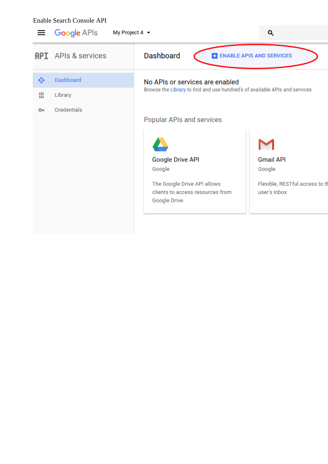#### Enable Search Console API

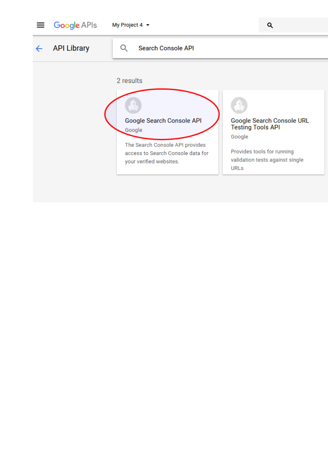



Q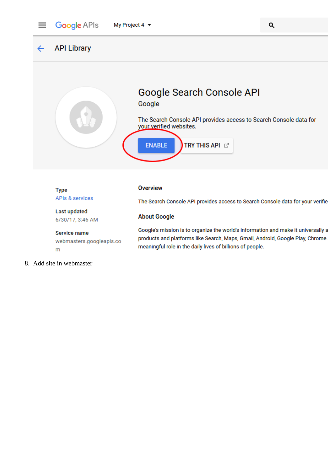

**API Library**  $\leftarrow$ 



6/30/17, 3:46 AM

#### **Service name**

webmasters.googleapis.co m

- **About Google** Google's mission is to organize the world's information and make it universally a products and platforms like Search, Maps, Gmail, Android, Google Play, Chrome meaningful role in the daily lives of billions of people.
- 8. Add site in webmaster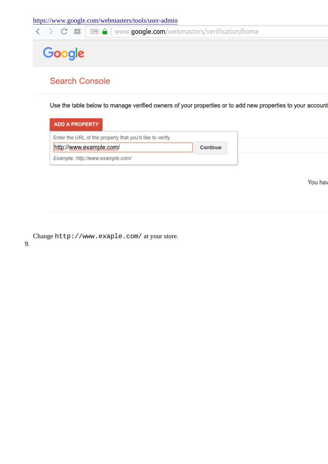Changehttp://www.exaple.com/ at your store.

9.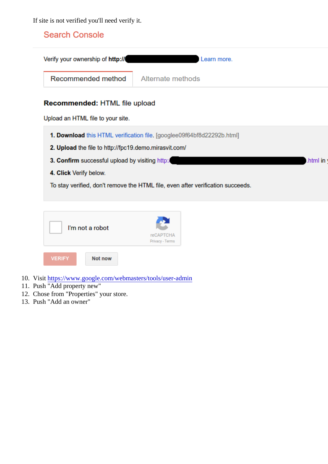If site is not verified you'll need verify it.

10. Visit [https://www.google.com/webmasters/tools/user-ad](https://www.google.com/webmasters/tools/user-admin)min

- 11. Push "Add property new"
- 12. Chose from "Properties" your store.
- 13. Push "Add an owner"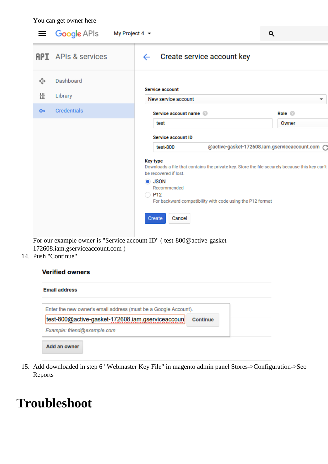You can get owner here

| $\equiv$ Google APIs       | My Project 4 $\star$                                                                                                                                                                                                                                                          | Q                                                                                                                          |
|----------------------------|-------------------------------------------------------------------------------------------------------------------------------------------------------------------------------------------------------------------------------------------------------------------------------|----------------------------------------------------------------------------------------------------------------------------|
| <b>API</b> APIs & services | Create service account key<br>$\leftarrow$                                                                                                                                                                                                                                    |                                                                                                                            |
| Dashboard                  |                                                                                                                                                                                                                                                                               |                                                                                                                            |
| Library                    | New service account                                                                                                                                                                                                                                                           | ▼                                                                                                                          |
| <b>Credentials</b>         | Service account name @                                                                                                                                                                                                                                                        | Role <b>O</b>                                                                                                              |
|                            | test                                                                                                                                                                                                                                                                          | Owner                                                                                                                      |
|                            | <b>Service account ID</b>                                                                                                                                                                                                                                                     |                                                                                                                            |
|                            | test-800                                                                                                                                                                                                                                                                      | @active-gasket-172608.iam.gserviceaccount.com C                                                                            |
|                            | <b>Key type</b><br>Downloads a file that contains the private key. Store the file securely because this key can't<br>be recovered if lost.<br><b>O</b> JSON<br>Recommended<br>$\bigcirc$ P12<br>For backward compatibility with code using the P12 format<br>Cancel<br>Create |                                                                                                                            |
|                            | $\cdot$ $\cdot$ $\sim$                                                                                                                                                                                                                                                        | Service account<br>$\mathbf{m}$ $\mathbf{u}$ $\mathbf{u}$ $\mathbf{u}$ $\mathbf{u}$ $\mathbf{u}$ $\mathbf{v}$ $\mathbf{v}$ |

For our example owner is "Service account ID" ( test-800@active-gasket-172608.iam.gserviceaccount.com )

14. Push "Continue"

#### **Verified owners**

| <b>Email address</b>                                            |                 |
|-----------------------------------------------------------------|-----------------|
| Enter the new owner's email address (must be a Google Account). |                 |
| test-800@active-gasket-172608.iam.gserviceaccoun                | <b>Continue</b> |
| Example: friend@example.com                                     |                 |
| Add an owner                                                    |                 |

15. Add downloaded in step 6 "Webmaster Key File" in magento admin panel Stores->Configuration->Seo Reports

## **Troubleshoot**